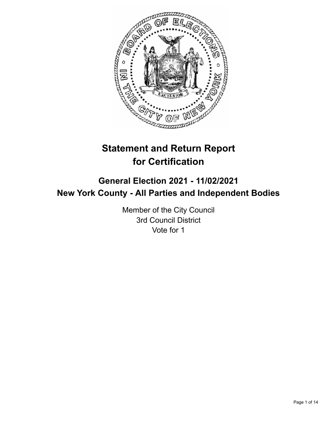

# **Statement and Return Report for Certification**

## **General Election 2021 - 11/02/2021 New York County - All Parties and Independent Bodies**

Member of the City Council 3rd Council District Vote for 1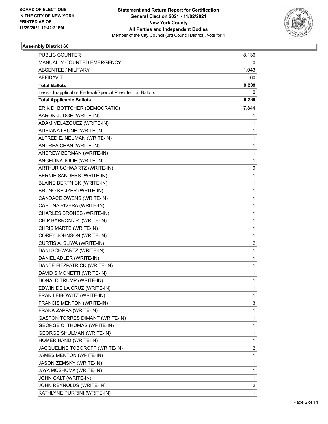

| <b>PUBLIC COUNTER</b>                                    | 8,136          |
|----------------------------------------------------------|----------------|
| MANUALLY COUNTED EMERGENCY                               | 0              |
| ABSENTEE / MILITARY                                      | 1,043          |
| <b>AFFIDAVIT</b>                                         | 60             |
| <b>Total Ballots</b>                                     | 9,239          |
| Less - Inapplicable Federal/Special Presidential Ballots | 0              |
| <b>Total Applicable Ballots</b>                          | 9,239          |
| ERIK D. BOTTCHER (DEMOCRATIC)                            | 7,844          |
| AARON JUDGE (WRITE-IN)                                   | 1              |
| ADAM VELAZQUEZ (WRITE-IN)                                | 1              |
| ADRIANA LEONE (WRITE-IN)                                 | 1              |
| ALFRED E. NEUMAN (WRITE-IN)                              | 1              |
| ANDREA CHAN (WRITE-IN)                                   | 1              |
| ANDREW BERMAN (WRITE-IN)                                 | 1              |
| ANGELINA JOLIE (WRITE-IN)                                | 1              |
| ARTHUR SCHWARTZ (WRITE-IN)                               | 9              |
| BERNIE SANDERS (WRITE-IN)                                | 1              |
| <b>BLAINE BERTNICK (WRITE-IN)</b>                        | 1              |
| BRUNO KEIJZER (WRITE-IN)                                 | 1              |
| CANDACE OWENS (WRITE-IN)                                 | 1              |
| CARLINA RIVERA (WRITE-IN)                                | 1              |
| CHARLES BRONES (WRITE-IN)                                | 1              |
| CHIP BARRON JR. (WRITE-IN)                               | 1              |
| CHRIS MARTE (WRITE-IN)                                   | 1              |
| COREY JOHNSON (WRITE-IN)                                 | 1              |
| CURTIS A. SLIWA (WRITE-IN)                               | 2              |
| DANI SCHWARTZ (WRITE-IN)                                 | 1              |
| DANIEL ADLER (WRITE-IN)                                  | 1              |
| DANTE FITZPATRICK (WRITE-IN)                             | 1              |
| DAVID SIMONETTI (WRITE-IN)                               | 1              |
| DONALD TRUMP (WRITE-IN)                                  | 1              |
| EDWIN DE LA CRUZ (WRITE-IN)                              | 1              |
| FRAN LEIBOWITZ (WRITE-IN)                                | 1              |
| FRANCIS MENTON (WRITE-IN)                                | 3              |
| FRANK ZAPPA (WRITE-IN)                                   | 1              |
| <b>GASTON TORRES DIMANT (WRITE-IN)</b>                   | 1              |
| <b>GEORGE C. THOMAS (WRITE-IN)</b>                       | 1              |
| <b>GEORGE SHULMAN (WRITE-IN)</b>                         | 1              |
| HOMER HAND (WRITE-IN)                                    | 1              |
| JACQUELINE TOBOROFF (WRITE-IN)                           | 2              |
| JAMES MENTON (WRITE-IN)                                  | 1              |
| JASON ZEMSKY (WRITE-IN)                                  | 1              |
| JAYA MCSHUMA (WRITE-IN)                                  | 1              |
| JOHN GALT (WRITE-IN)                                     | 1              |
| JOHN REYNOLDS (WRITE-IN)                                 | $\overline{2}$ |
| KATHLYNE PURRINI (WRITE-IN)                              | 1              |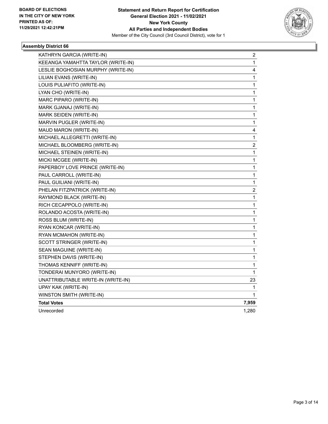

| KATHRYN GARCIA (WRITE-IN)          | 2                       |
|------------------------------------|-------------------------|
| KEEANGA YAMAHTTA TAYLOR (WRITE-IN) | 1                       |
| LESLIE BOGHOSIAN MURPHY (WRITE-IN) | 4                       |
| LILIAN EVANS (WRITE-IN)            | 1                       |
| LOUIS PULIAFITO (WRITE-IN)         | 1                       |
| LYAN CHO (WRITE-IN)                | 1                       |
| MARC PIPARO (WRITE-IN)             | 1                       |
| MARK GJANAJ (WRITE-IN)             | 1                       |
| MARK SEIDEN (WRITE-IN)             | 1                       |
| MARVIN PUGLER (WRITE-IN)           | 1                       |
| MAUD MARON (WRITE-IN)              | 4                       |
| MICHAEL ALLEGRETTI (WRITE-IN)      | 1                       |
| MICHAEL BLOOMBERG (WRITE-IN)       | $\overline{\mathbf{c}}$ |
| MICHAEL STEINEN (WRITE-IN)         | 1                       |
| MICKI MCGEE (WRITE-IN)             | 1                       |
| PAPERBOY LOVE PRINCE (WRITE-IN)    | 1                       |
| PAUL CARROLL (WRITE-IN)            | 1                       |
| PAUL GUILIANI (WRITE-IN)           | 1                       |
| PHELAN FITZPATRICK (WRITE-IN)      | 2                       |
| RAYMOND BLACK (WRITE-IN)           | 1                       |
| RICH CECAPPOLO (WRITE-IN)          | 1                       |
| ROLANDO ACOSTA (WRITE-IN)          | 1                       |
| ROSS BLUM (WRITE-IN)               | 1                       |
| RYAN KONCAR (WRITE-IN)             | 1                       |
| RYAN MCMAHON (WRITE-IN)            | 1                       |
| SCOTT STRINGER (WRITE-IN)          | 1                       |
| SEAN MAGUINE (WRITE-IN)            | 1                       |
| STEPHEN DAVIS (WRITE-IN)           | 1                       |
| THOMAS KENNIFF (WRITE-IN)          | 1                       |
| TONDERAI MUNYORO (WRITE-IN)        | 1                       |
| UNATTRIBUTABLE WRITE-IN (WRITE-IN) | 23                      |
| UPAY KAK (WRITE-IN)                | 1                       |
| WINSTON SMITH (WRITE-IN)           | $\mathbf 1$             |
| <b>Total Votes</b>                 | 7,959                   |
| Unrecorded                         | 1,280                   |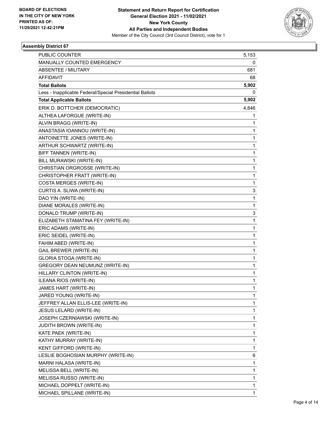

| PUBLIC COUNTER                                           | 5,153        |
|----------------------------------------------------------|--------------|
| MANUALLY COUNTED EMERGENCY                               | 0            |
| ABSENTEE / MILITARY                                      | 681          |
| <b>AFFIDAVIT</b>                                         | 68           |
| <b>Total Ballots</b>                                     | 5,902        |
| Less - Inapplicable Federal/Special Presidential Ballots | 0            |
| <b>Total Applicable Ballots</b>                          | 5,902        |
| ERIK D. BOTTCHER (DEMOCRATIC)                            | 4,846        |
| ALTHEA LAFORGUE (WRITE-IN)                               | 1            |
| ALVIN BRAGG (WRITE-IN)                                   | 1            |
| ANASTASIA IOANNOU (WRITE-IN)                             | 1            |
| ANTOINETTE JONES (WRITE-IN)                              | 1            |
| ARTHUR SCHWARTZ (WRITE-IN)                               | 1            |
| BIFF TANNEN (WRITE-IN)                                   | 1            |
| BILL MURAWSKI (WRITE-IN)                                 | 1            |
| CHRISTIAN ORGROSSE (WRITE-IN)                            | 1            |
| CHRISTOPHER FRATT (WRITE-IN)                             | 1            |
| COSTA MERGES (WRITE-IN)                                  | 1            |
| CURTIS A. SLIWA (WRITE-IN)                               | 3            |
| DAO YIN (WRITE-IN)                                       | $\mathbf{1}$ |
| DIANE MORALES (WRITE-IN)                                 | 1            |
| DONALD TRUMP (WRITE-IN)                                  | 3            |
| ELIZABETH STAMATINA FEY (WRITE-IN)                       | 1            |
| ERIC ADAMS (WRITE-IN)                                    | 1            |
| ERIC SEIDEL (WRITE-IN)                                   | 1            |
| FAHIM ABED (WRITE-IN)                                    | 1            |
| <b>GAIL BREWER (WRITE-IN)</b>                            | 1            |
| GLORIA STOGA (WRITE-IN)                                  | 1            |
| GREGORY DEAN NEUMUNZ (WRITE-IN)                          | 1            |
| HILLARY CLINTON (WRITE-IN)                               | 1            |
| ILEANA RIOS (WRITE-IN)                                   | 1            |
| JAMES HART (WRITE-IN)                                    | 1            |
| JARED YOUNG (WRITE-IN)                                   | 1            |
| JEFFREY ALLAN ELLIS-LEE (WRITE-IN)                       | 1            |
| <b>JESUS LELARD (WRITE-IN)</b>                           | 1            |
| JOSEPH CZERNIAWSKI (WRITE-IN)                            | 1            |
| <b>JUDITH BROWN (WRITE-IN)</b>                           | 1            |
| KATE PAEK (WRITE-IN)                                     | 1            |
| KATHY MURRAY (WRITE-IN)                                  | 1            |
| KENT GIFFORD (WRITE-IN)                                  | 1            |
| LESLIE BOGHOSIAN MURPHY (WRITE-IN)                       | 6            |
| MARNI HALASA (WRITE-IN)                                  | 1            |
| MELISSA BELL (WRITE-IN)                                  | 1            |
| MELISSA RUSSO (WRITE-IN)                                 | 1            |
| MICHAEL DOPPELT (WRITE-IN)                               | 1            |
| MICHAEL SPILLANE (WRITE-IN)                              | 1            |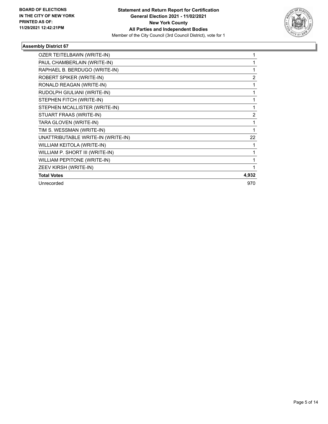

| OZER TEITELBAWN (WRITE-IN)         |                |
|------------------------------------|----------------|
| PAUL CHAMBERLAIN (WRITE-IN)        |                |
| RAPHAEL B. BERDUGO (WRITE-IN)      | 1              |
| ROBERT SPIKER (WRITE-IN)           | 2              |
| RONALD REAGAN (WRITE-IN)           | 1              |
| RUDOLPH GIULIANI (WRITE-IN)        | 1              |
| STEPHEN FITCH (WRITE-IN)           |                |
| STEPHEN MCALLISTER (WRITE-IN)      |                |
| STUART FRAAS (WRITE-IN)            | $\overline{2}$ |
| TARA GLOVEN (WRITE-IN)             | 1              |
| TIM S. WESSMAN (WRITE-IN)          | 1              |
| UNATTRIBUTABLE WRITE-IN (WRITE-IN) | 22             |
| WILLIAM KEITOLA (WRITE-IN)         | 1              |
| WILLIAM P. SHORT III (WRITE-IN)    | 1              |
| <b>WILLIAM PEPITONE (WRITE-IN)</b> |                |
| ZEEV KIRSH (WRITE-IN)              |                |
| <b>Total Votes</b>                 | 4,932          |
| Unrecorded                         | 970            |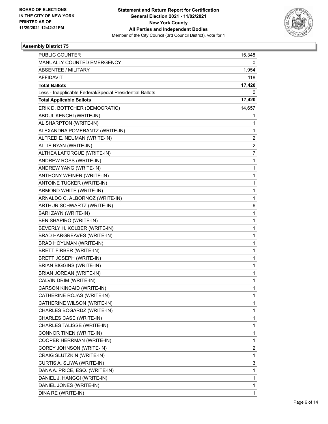

| <b>PUBLIC COUNTER</b>                                    | 15,348 |
|----------------------------------------------------------|--------|
| MANUALLY COUNTED EMERGENCY                               | 0      |
| <b>ABSENTEE / MILITARY</b>                               | 1,954  |
| <b>AFFIDAVIT</b>                                         | 118    |
| <b>Total Ballots</b>                                     | 17,420 |
| Less - Inapplicable Federal/Special Presidential Ballots | 0      |
| <b>Total Applicable Ballots</b>                          | 17,420 |
| ERIK D. BOTTCHER (DEMOCRATIC)                            | 14,657 |
| ABDUL KENCHI (WRITE-IN)                                  | 1      |
| AL SHARPTON (WRITE-IN)                                   | 1      |
| ALEXANDRA POMERANTZ (WRITE-IN)                           | 1      |
| ALFRED E. NEUMAN (WRITE-IN)                              | 2      |
| ALLIE RYAN (WRITE-IN)                                    | 2      |
| ALTHEA LAFORGUE (WRITE-IN)                               | 7      |
| ANDREW ROSS (WRITE-IN)                                   | 1      |
| ANDREW YANG (WRITE-IN)                                   | 1      |
| ANTHONY WEINER (WRITE-IN)                                | 1      |
| ANTOINE TUCKER (WRITE-IN)                                | 1      |
| ARMOND WHITE (WRITE-IN)                                  | 1      |
| ARNALDO C. ALBORNOZ (WRITE-IN)                           | 1      |
| ARTHUR SCHWARTZ (WRITE-IN)                               | 6      |
| BARI ZAYN (WRITE-IN)                                     | 1      |
| BEN SHAPIRO (WRITE-IN)                                   | 1      |
| BEVERLY H. KOLBER (WRITE-IN)                             | 1      |
| BRAD HARGREAVES (WRITE-IN)                               | 1      |
| BRAD HOYLMAN (WRITE-IN)                                  | 1      |
| BRETT FIRBER (WRITE-IN)                                  | 1      |
| BRETT JOSEPH (WRITE-IN)                                  | 1      |
| <b>BRIAN BIGGINS (WRITE-IN)</b>                          | 1      |
| BRIAN JORDAN (WRITE-IN)                                  | 1      |
| CALVIN DRIM (WRITE-IN)                                   | 1      |
| CARSON KINCAID (WRITE-IN)                                | 1      |
| CATHERINE ROJAS (WRITE-IN)                               | 1      |
| CATHERINE WILSON (WRITE-IN)                              | 1      |
| CHARLES BOGARDZ (WRITE-IN)                               | 1      |
| CHARLES CASE (WRITE-IN)                                  | 1      |
| CHARLES TALISSE (WRITE-IN)                               | 1      |
| CONNOR TINEN (WRITE-IN)                                  | 1      |
| COOPER HERRMAN (WRITE-IN)                                | 1      |
| COREY JOHNSON (WRITE-IN)                                 | 2      |
| CRAIG SLUTZKIN (WRITE-IN)                                | 1      |
| CURTIS A. SLIWA (WRITE-IN)                               | 3      |
| DANA A. PRICE, ESQ. (WRITE-IN)                           | 1      |
| DANIEL J. HANGGI (WRITE-IN)                              | 1      |
| DANIEL JONES (WRITE-IN)                                  | 1      |
| DINA RE (WRITE-IN)                                       | 1      |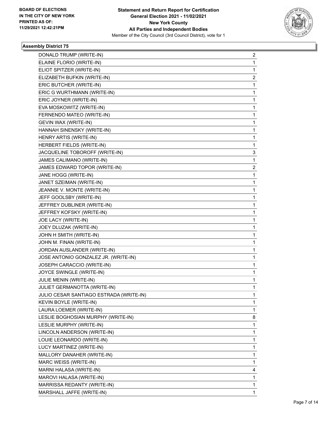

| DONALD TRUMP (WRITE-IN)                 | 2 |
|-----------------------------------------|---|
| ELAINE FLORIO (WRITE-IN)                | 1 |
| ELIOT SPITZER (WRITE-IN)                | 1 |
| ELIZABETH BUFKIN (WRITE-IN)             | 2 |
| ERIC BUTCHER (WRITE-IN)                 | 1 |
| ERIC G WURTHMANN (WRITE-IN)             | 1 |
| ERIC JOYNER (WRITE-IN)                  | 1 |
| EVA MOSKOWITZ (WRITE-IN)                | 1 |
| FERNENDO MATEO (WRITE-IN)               | 1 |
| GEVIN WAX (WRITE-IN)                    | 1 |
| HANNAH SINENSKY (WRITE-IN)              | 1 |
| HENRY ARTIS (WRITE-IN)                  | 1 |
| HERBERT FIELDS (WRITE-IN)               | 1 |
| JACQUELINE TOBOROFF (WRITE-IN)          | 3 |
| JAMES CALIMANO (WRITE-IN)               | 1 |
| JAMES EDWARD TOPOR (WRITE-IN)           | 2 |
| JANE HOGG (WRITE-IN)                    | 1 |
| JANET SZEIMAN (WRITE-IN)                | 1 |
| JEANNIE V. MONTE (WRITE-IN)             | 1 |
| JEFF GOOLSBY (WRITE-IN)                 | 1 |
| JEFFREY DUBLINER (WRITE-IN)             | 1 |
| JEFFREY KOFSKY (WRITE-IN)               | 1 |
| JOE LACY (WRITE-IN)                     | 1 |
| JOEY DLUZAK (WRITE-IN)                  | 1 |
| JOHN H SMITH (WRITE-IN)                 | 1 |
| JOHN M. FINAN (WRITE-IN)                | 1 |
| JORDAN AUSLANDER (WRITE-IN)             | 1 |
| JOSE ANTONIO GONZALEZ JR. (WRITE-IN)    | 1 |
| JOSEPH CARACCIO (WRITE-IN)              | 1 |
| JOYCE SWINGLE (WRITE-IN)                | 1 |
| JULIE MENIN (WRITE-IN)                  | 1 |
| JULIET GERMANOTTA (WRITE-IN)            | 1 |
| JULIO CESAR SANTIAGO ESTRADA (WRITE-IN) | 1 |
| KEVIN BOYLE (WRITE-IN)                  | 1 |
| LAURA LOEMER (WRITE-IN)                 | 1 |
| LESLIE BOGHOSIAN MURPHY (WRITE-IN)      | 8 |
| LESLIE MURPHY (WRITE-IN)                | 1 |
| LINCOLN ANDERSON (WRITE-IN)             | 1 |
| LOUIE LEONARDO (WRITE-IN)               | 1 |
| LUCY MARTINEZ (WRITE-IN)                | 1 |
| MALLORY DANAHER (WRITE-IN)              | 1 |
| MARC WEISS (WRITE-IN)                   | 1 |
| MARNI HALASA (WRITE-IN)                 | 4 |
| MAROVI HALASA (WRITE-IN)                | 1 |
| MARRISSA REDANTY (WRITE-IN)             | 1 |
| MARSHALL JAFFE (WRITE-IN)               | 1 |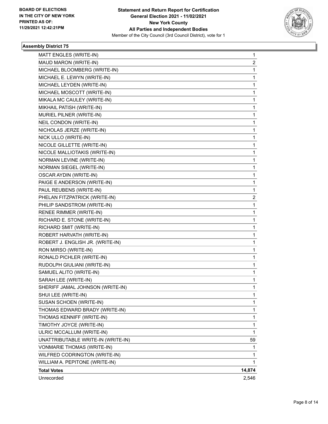

| MATT ENGLES (WRITE-IN)             | 1      |
|------------------------------------|--------|
| MAUD MARON (WRITE-IN)              | 2      |
| MICHAEL BLOOMBERG (WRITE-IN)       | 1      |
| MICHAEL E. LEWYN (WRITE-IN)        | 1      |
| MICHAEL LEYDEN (WRITE-IN)          | 1      |
| MICHAEL MOSCOTT (WRITE-IN)         | 1      |
| MIKALA MC CAULEY (WRITE-IN)        | 1      |
| MIKHAIL PATISH (WRITE-IN)          | 1      |
| MURIEL PILNER (WRITE-IN)           | 1      |
| NEIL CONDON (WRITE-IN)             | 1      |
| NICHOLAS JERZE (WRITE-IN)          | 1      |
| NICK ULLO (WRITE-IN)               | 1      |
| NICOLE GILLETTE (WRITE-IN)         | 1      |
| NICOLE MALLIOTAKIS (WRITE-IN)      | 1      |
| NORMAN LEVINE (WRITE-IN)           | 1      |
| NORMAN SIEGEL (WRITE-IN)           | 1      |
| OSCAR AYDIN (WRITE-IN)             | 1      |
| PAIGE E ANDERSON (WRITE-IN)        | 1      |
| PAUL REUBENS (WRITE-IN)            | 1      |
| PHELAN FITZPATRICK (WRITE-IN)      | 2      |
| PHILIP SANDSTROM (WRITE-IN)        | 1      |
| RENEE RIMMER (WRITE-IN)            | 1      |
| RICHARD E. STONE (WRITE-IN)        | 1      |
| RICHARD SMIT (WRITE-IN)            | 1      |
| ROBERT HARVATH (WRITE-IN)          | 1      |
| ROBERT J. ENGLISH JR. (WRITE-IN)   | 1      |
| RON MIRSO (WRITE-IN)               | 1      |
| RONALD PICHLER (WRITE-IN)          | 1      |
| RUDOLPH GIULIANI (WRITE-IN)        | 1      |
| SAMUEL ALITO (WRITE-IN)            | 1      |
| SARAH LEE (WRITE-IN)               | 1      |
| SHERIFF JAMAL JOHNSON (WRITE-IN)   | 1      |
| SHUI LEE (WRITE-IN)                | 1      |
| SUSAN SCHOEN (WRITE-IN)            | 1      |
| THOMAS EDWARD BRADY (WRITE-IN)     | 1      |
| THOMAS KENNIFF (WRITE-IN)          | 1      |
| TIMOTHY JOYCE (WRITE-IN)           | 1      |
| ULRIC MCCALLUM (WRITE-IN)          | 1      |
| UNATTRIBUTABLE WRITE-IN (WRITE-IN) | 59     |
| VONMARIE THOMAS (WRITE-IN)         | 1      |
| WILFRED CODRINGTON (WRITE-IN)      | 1      |
| WILLIAM A. PEPITONE (WRITE-IN)     | 1      |
| <b>Total Votes</b>                 | 14,874 |
| Unrecorded                         | 2,546  |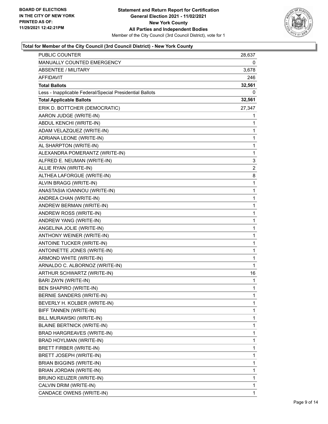

| PUBLIC COUNTER                                           | 28,637       |
|----------------------------------------------------------|--------------|
| MANUALLY COUNTED EMERGENCY                               | 0            |
| <b>ABSENTEE / MILITARY</b>                               | 3,678        |
| AFFIDAVIT                                                | 246          |
| <b>Total Ballots</b>                                     | 32,561       |
| Less - Inapplicable Federal/Special Presidential Ballots | 0            |
| <b>Total Applicable Ballots</b>                          | 32,561       |
| ERIK D. BOTTCHER (DEMOCRATIC)                            | 27,347       |
| AARON JUDGE (WRITE-IN)                                   | 1            |
| ABDUL KENCHI (WRITE-IN)                                  | 1            |
| ADAM VELAZQUEZ (WRITE-IN)                                | 1            |
| ADRIANA LEONE (WRITE-IN)                                 | 1            |
| AL SHARPTON (WRITE-IN)                                   | 1            |
| ALEXANDRA POMERANTZ (WRITE-IN)                           | $\mathbf 1$  |
| ALFRED E. NEUMAN (WRITE-IN)                              | 3            |
| ALLIE RYAN (WRITE-IN)                                    | 2            |
| ALTHEA LAFORGUE (WRITE-IN)                               | 8            |
| ALVIN BRAGG (WRITE-IN)                                   | 1            |
| ANASTASIA IOANNOU (WRITE-IN)                             | 1            |
| ANDREA CHAN (WRITE-IN)                                   | $\mathbf 1$  |
| ANDREW BERMAN (WRITE-IN)                                 | 1            |
| ANDREW ROSS (WRITE-IN)                                   | 1            |
| ANDREW YANG (WRITE-IN)                                   | $\mathbf 1$  |
| ANGELINA JOLIE (WRITE-IN)                                | 1            |
| ANTHONY WEINER (WRITE-IN)                                | 1            |
| ANTOINE TUCKER (WRITE-IN)                                | $\mathbf 1$  |
| ANTOINETTE JONES (WRITE-IN)                              | 1            |
| ARMOND WHITE (WRITE-IN)                                  | 1            |
| ARNALDO C. ALBORNOZ (WRITE-IN)                           | $\mathbf{1}$ |
| ARTHUR SCHWARTZ (WRITE-IN)                               | 16           |
| BARI ZAYN (WRITE-IN)                                     | 1            |
| BEN SHAPIRO (WRITE-IN)                                   | $\mathbf{1}$ |
| BERNIE SANDERS (WRITE-IN)                                | 1            |
| BEVERLY H. KOLBER (WRITE-IN)                             | 1            |
| BIFF TANNEN (WRITE-IN)                                   | 1            |
| BILL MURAWSKI (WRITE-IN)                                 | 1            |
| <b>BLAINE BERTNICK (WRITE-IN)</b>                        | 1            |
| BRAD HARGREAVES (WRITE-IN)                               | 1            |
| BRAD HOYLMAN (WRITE-IN)                                  | 1            |
| BRETT FIRBER (WRITE-IN)                                  | 1            |
| BRETT JOSEPH (WRITE-IN)                                  | 1            |
| <b>BRIAN BIGGINS (WRITE-IN)</b>                          | 1            |
| BRIAN JORDAN (WRITE-IN)                                  | 1            |
| BRUNO KEIJZER (WRITE-IN)                                 | 1            |
| CALVIN DRIM (WRITE-IN)                                   | 1            |
| CANDACE OWENS (WRITE-IN)                                 | 1            |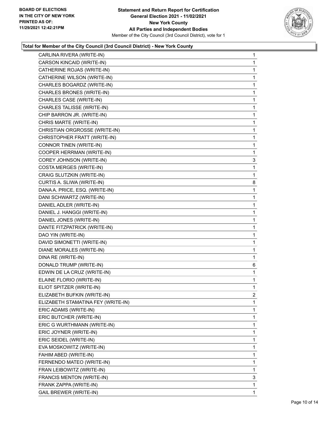

| CARLINA RIVERA (WRITE-IN)          | $\mathbf{1}$ |
|------------------------------------|--------------|
| CARSON KINCAID (WRITE-IN)          | $\mathbf{1}$ |
| CATHERINE ROJAS (WRITE-IN)         | $\mathbf{1}$ |
| CATHERINE WILSON (WRITE-IN)        | 1            |
| CHARLES BOGARDZ (WRITE-IN)         | 1            |
| CHARLES BRONES (WRITE-IN)          | $\mathbf{1}$ |
| CHARLES CASE (WRITE-IN)            | 1            |
| CHARLES TALISSE (WRITE-IN)         | $\mathbf{1}$ |
| CHIP BARRON JR. (WRITE-IN)         | 1            |
| CHRIS MARTE (WRITE-IN)             | 1            |
| CHRISTIAN ORGROSSE (WRITE-IN)      | 1            |
| CHRISTOPHER FRATT (WRITE-IN)       | $\mathbf{1}$ |
| CONNOR TINEN (WRITE-IN)            | 1            |
| COOPER HERRMAN (WRITE-IN)          | $\mathbf{1}$ |
| COREY JOHNSON (WRITE-IN)           | 3            |
| COSTA MERGES (WRITE-IN)            | 1            |
| CRAIG SLUTZKIN (WRITE-IN)          | 1            |
| CURTIS A. SLIWA (WRITE-IN)         | 8            |
| DANA A. PRICE, ESQ. (WRITE-IN)     | 1            |
| DANI SCHWARTZ (WRITE-IN)           | $\mathbf{1}$ |
| DANIEL ADLER (WRITE-IN)            | 1            |
| DANIEL J. HANGGI (WRITE-IN)        | 1            |
| DANIEL JONES (WRITE-IN)            | 1            |
| DANTE FITZPATRICK (WRITE-IN)       | $\mathbf{1}$ |
| DAO YIN (WRITE-IN)                 | 1            |
| DAVID SIMONETTI (WRITE-IN)         | $\mathbf{1}$ |
| DIANE MORALES (WRITE-IN)           | 1            |
| DINA RE (WRITE-IN)                 | 1            |
| DONALD TRUMP (WRITE-IN)            | 6            |
| EDWIN DE LA CRUZ (WRITE-IN)        | $\mathbf{1}$ |
| ELAINE FLORIO (WRITE-IN)           | 1            |
| ELIOT SPITZER (WRITE-IN)           | $\mathbf{1}$ |
| ELIZABETH BUFKIN (WRITE-IN)        | 2            |
| ELIZABETH STAMATINA FEY (WRITE-IN) | 1            |
| ERIC ADAMS (WRITE-IN)              | $\mathbf 1$  |
| ERIC BUTCHER (WRITE-IN)            | 1            |
| ERIC G WURTHMANN (WRITE-IN)        | 1            |
| ERIC JOYNER (WRITE-IN)             | $\mathbf 1$  |
| ERIC SEIDEL (WRITE-IN)             | 1            |
| EVA MOSKOWITZ (WRITE-IN)           | 1            |
| FAHIM ABED (WRITE-IN)              | 1            |
| FERNENDO MATEO (WRITE-IN)          | 1            |
| FRAN LEIBOWITZ (WRITE-IN)          | 1            |
| FRANCIS MENTON (WRITE-IN)          | 3            |
| FRANK ZAPPA (WRITE-IN)             | $\mathbf{1}$ |
| <b>GAIL BREWER (WRITE-IN)</b>      | 1            |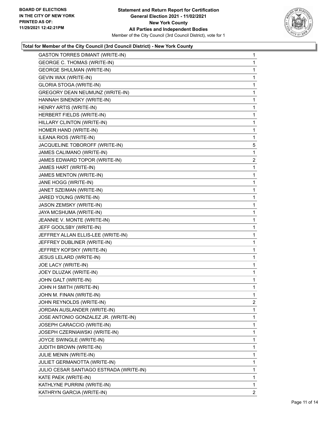

| <b>GASTON TORRES DIMANT (WRITE-IN)</b>  | $\mathbf{1}$   |
|-----------------------------------------|----------------|
| <b>GEORGE C. THOMAS (WRITE-IN)</b>      | 1              |
| <b>GEORGE SHULMAN (WRITE-IN)</b>        | 1              |
| GEVIN WAX (WRITE-IN)                    | $\mathbf 1$    |
| GLORIA STOGA (WRITE-IN)                 | 1              |
| GREGORY DEAN NEUMUNZ (WRITE-IN)         | 1              |
| HANNAH SINENSKY (WRITE-IN)              | $\mathbf 1$    |
| HENRY ARTIS (WRITE-IN)                  | 1              |
| HERBERT FIELDS (WRITE-IN)               | 1              |
| HILLARY CLINTON (WRITE-IN)              | $\mathbf 1$    |
| HOMER HAND (WRITE-IN)                   | $\mathbf{1}$   |
| ILEANA RIOS (WRITE-IN)                  | 1              |
| JACQUELINE TOBOROFF (WRITE-IN)          | 5              |
| JAMES CALIMANO (WRITE-IN)               | 1              |
| JAMES EDWARD TOPOR (WRITE-IN)           | $\overline{2}$ |
| JAMES HART (WRITE-IN)                   | $\mathbf 1$    |
| JAMES MENTON (WRITE-IN)                 | $\mathbf{1}$   |
| JANE HOGG (WRITE-IN)                    | 1              |
| JANET SZEIMAN (WRITE-IN)                | $\mathbf 1$    |
| JARED YOUNG (WRITE-IN)                  | 1              |
| JASON ZEMSKY (WRITE-IN)                 | 1              |
| JAYA MCSHUMA (WRITE-IN)                 | $\mathbf 1$    |
| JEANNIE V. MONTE (WRITE-IN)             | $\mathbf{1}$   |
| JEFF GOOLSBY (WRITE-IN)                 | 1              |
| JEFFREY ALLAN ELLIS-LEE (WRITE-IN)      | $\mathbf 1$    |
| JEFFREY DUBLINER (WRITE-IN)             | 1              |
| JEFFREY KOFSKY (WRITE-IN)               | 1              |
| JESUS LELARD (WRITE-IN)                 | $\mathbf 1$    |
| JOE LACY (WRITE-IN)                     | $\mathbf{1}$   |
| JOEY DLUZAK (WRITE-IN)                  | 1              |
| JOHN GALT (WRITE-IN)                    | $\mathbf 1$    |
| JOHN H SMITH (WRITE-IN)                 | 1              |
| JOHN M. FINAN (WRITE-IN)                | 1              |
| JOHN REYNOLDS (WRITE-IN)                | $\overline{2}$ |
| JORDAN AUSLANDER (WRITE-IN)             | 1              |
| JOSE ANTONIO GONZALEZ JR. (WRITE-IN)    | 1              |
| JOSEPH CARACCIO (WRITE-IN)              | 1              |
| JOSEPH CZERNIAWSKI (WRITE-IN)           | 1              |
| JOYCE SWINGLE (WRITE-IN)                | 1              |
| <b>JUDITH BROWN (WRITE-IN)</b>          | 1              |
| JULIE MENIN (WRITE-IN)                  | 1              |
| JULIET GERMANOTTA (WRITE-IN)            | 1              |
| JULIO CESAR SANTIAGO ESTRADA (WRITE-IN) | 1              |
| KATE PAEK (WRITE-IN)                    | 1              |
| KATHLYNE PURRINI (WRITE-IN)             | 1              |
| KATHRYN GARCIA (WRITE-IN)               | $\overline{2}$ |
|                                         |                |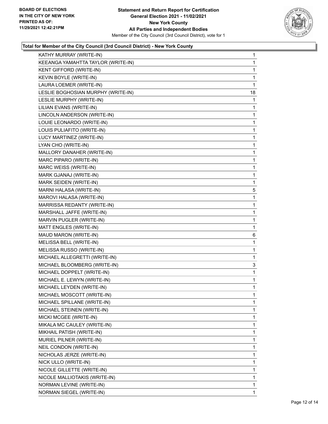

| KATHY MURRAY (WRITE-IN)            | 1  |
|------------------------------------|----|
| KEEANGA YAMAHTTA TAYLOR (WRITE-IN) | 1  |
| KENT GIFFORD (WRITE-IN)            | 1  |
| KEVIN BOYLE (WRITE-IN)             | 1  |
| LAURA LOEMER (WRITE-IN)            | 1  |
| LESLIE BOGHOSIAN MURPHY (WRITE-IN) | 18 |
| LESLIE MURPHY (WRITE-IN)           | 1  |
| LILIAN EVANS (WRITE-IN)            | 1  |
| LINCOLN ANDERSON (WRITE-IN)        | 1  |
| LOUIE LEONARDO (WRITE-IN)          | 1  |
| LOUIS PULIAFITO (WRITE-IN)         | 1  |
| LUCY MARTINEZ (WRITE-IN)           | 1  |
| LYAN CHO (WRITE-IN)                | 1  |
| MALLORY DANAHER (WRITE-IN)         | 1  |
| MARC PIPARO (WRITE-IN)             | 1  |
| MARC WEISS (WRITE-IN)              | 1  |
| MARK GJANAJ (WRITE-IN)             | 1  |
| MARK SEIDEN (WRITE-IN)             | 1  |
| MARNI HALASA (WRITE-IN)            | 5  |
| MAROVI HALASA (WRITE-IN)           | 1  |
| MARRISSA REDANTY (WRITE-IN)        | 1  |
| MARSHALL JAFFE (WRITE-IN)          | 1  |
| MARVIN PUGLER (WRITE-IN)           | 1  |
| MATT ENGLES (WRITE-IN)             | 1  |
| MAUD MARON (WRITE-IN)              | 6  |
| MELISSA BELL (WRITE-IN)            | 1  |
| MELISSA RUSSO (WRITE-IN)           | 1  |
| MICHAEL ALLEGRETTI (WRITE-IN)      | 1  |
| MICHAEL BLOOMBERG (WRITE-IN)       | 3  |
| MICHAEL DOPPELT (WRITE-IN)         | 1  |
| MICHAEL E. LEWYN (WRITE-IN)        | 1  |
| MICHAEL LEYDEN (WRITE-IN)          | 1  |
| MICHAEL MOSCOTT (WRITE-IN)         | 1  |
| MICHAEL SPILLANE (WRITE-IN)        | 1  |
| MICHAEL STEINEN (WRITE-IN)         | 1  |
| MICKI MCGEE (WRITE-IN)             | 1  |
| MIKALA MC CAULEY (WRITE-IN)        | 1  |
| MIKHAIL PATISH (WRITE-IN)          | 1  |
| MURIEL PILNER (WRITE-IN)           | 1  |
| NEIL CONDON (WRITE-IN)             | 1  |
| NICHOLAS JERZE (WRITE-IN)          | 1  |
| NICK ULLO (WRITE-IN)               | 1  |
| NICOLE GILLETTE (WRITE-IN)         | 1  |
| NICOLE MALLIOTAKIS (WRITE-IN)      | 1  |
| NORMAN LEVINE (WRITE-IN)           | 1  |
| NORMAN SIEGEL (WRITE-IN)           | 1  |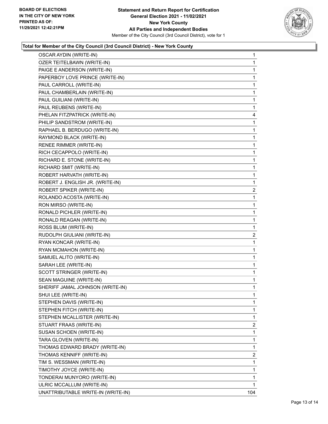

| OSCAR AYDIN (WRITE-IN)             | 1              |
|------------------------------------|----------------|
| OZER TEITELBAWN (WRITE-IN)         | 1              |
| PAIGE E ANDERSON (WRITE-IN)        | 1              |
| PAPERBOY LOVE PRINCE (WRITE-IN)    | 1              |
| PAUL CARROLL (WRITE-IN)            | 1              |
| PAUL CHAMBERLAIN (WRITE-IN)        | 1              |
| PAUL GUILIANI (WRITE-IN)           | 1              |
| PAUL REUBENS (WRITE-IN)            | 1              |
| PHELAN FITZPATRICK (WRITE-IN)      | 4              |
| PHILIP SANDSTROM (WRITE-IN)        | 1              |
| RAPHAEL B. BERDUGO (WRITE-IN)      | 1              |
| RAYMOND BLACK (WRITE-IN)           | 1              |
| RENEE RIMMER (WRITE-IN)            | 1              |
| RICH CECAPPOLO (WRITE-IN)          | 1              |
| RICHARD E. STONE (WRITE-IN)        | 1              |
| RICHARD SMIT (WRITE-IN)            | 1              |
| ROBERT HARVATH (WRITE-IN)          | 1              |
| ROBERT J. ENGLISH JR. (WRITE-IN)   | 1              |
| ROBERT SPIKER (WRITE-IN)           | 2              |
| ROLANDO ACOSTA (WRITE-IN)          | 1              |
| RON MIRSO (WRITE-IN)               | 1              |
| RONALD PICHLER (WRITE-IN)          | 1              |
| RONALD REAGAN (WRITE-IN)           | 1              |
| ROSS BLUM (WRITE-IN)               | 1              |
| RUDOLPH GIULIANI (WRITE-IN)        | 2              |
| RYAN KONCAR (WRITE-IN)             | 1              |
| RYAN MCMAHON (WRITE-IN)            | 1              |
| SAMUEL ALITO (WRITE-IN)            | 1              |
| SARAH LEE (WRITE-IN)               | 1              |
| SCOTT STRINGER (WRITE-IN)          | 1              |
| SEAN MAGUINE (WRITE-IN)            | 1              |
| SHERIFF JAMAL JOHNSON (WRITE-IN)   | 1              |
| SHUI LEE (WRITE-IN)                | 1              |
| STEPHEN DAVIS (WRITE-IN)           | 1              |
| STEPHEN FITCH (WRITE-IN)           | 1              |
| STEPHEN MCALLISTER (WRITE-IN)      | 1              |
| STUART FRAAS (WRITE-IN)            | 2              |
| SUSAN SCHOEN (WRITE-IN)            | 1              |
| TARA GLOVEN (WRITE-IN)             | 1              |
| THOMAS EDWARD BRADY (WRITE-IN)     | 1              |
| THOMAS KENNIFF (WRITE-IN)          | $\overline{2}$ |
| TIM S. WESSMAN (WRITE-IN)          | 1              |
| TIMOTHY JOYCE (WRITE-IN)           | 1              |
| TONDERAI MUNYORO (WRITE-IN)        | 1              |
| ULRIC MCCALLUM (WRITE-IN)          | 1              |
| UNATTRIBUTABLE WRITE-IN (WRITE-IN) | 104            |
|                                    |                |